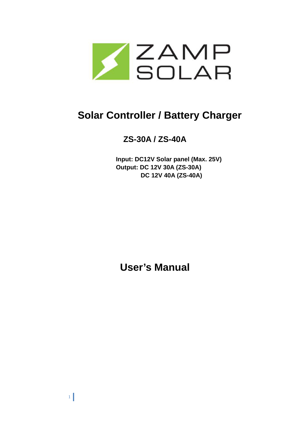

# **Solar Controller / Battery Charger**

# **ZS-30A / ZS-40A**

**Input: DC12V Solar panel (Max. 25V) Output: DC 12V 30A (ZS-30A) DC 12V 40A (ZS-40A)** 

**User's Manual**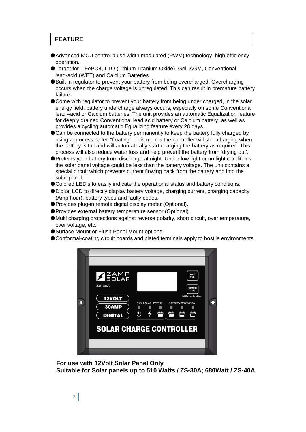# **FEATURE**

- ●Advanced MCU control pulse width modulated (PWM) technology, high efficiency operation.
- ●Target for LiFePO4, LTO (Lithium Titanium Oxide), Gel, AGM, Conventional lead-acid (WET) and Calcium Batteries.
- ●Built in regulator to prevent your battery from being overcharged. Overcharging occurs when the charge voltage is unregulated. This can result in premature battery failure.
- Come with regulator to prevent your battery from being under charged, in the solar energy field, battery undercharge always occurs, especially on some Conventional lead –acid or Calcium batteries; The unit provides an automatic Equalization feature for deeply drained Conventional lead acid battery or Calcium battery, as well as provides a cycling automatic Equalizing feature every 28 days.
- ●Can be connected to the battery permanently to keep the battery fully charged by using a process called "floating". This means the controller will stop charging when the battery is full and will automatically start charging the battery as required. This process will also reduce water loss and help prevent the battery from 'drying out'.
- ●Protects your battery from discharge at night. Under low light or no light conditions the solar panel voltage could be less than the battery voltage. The unit contains a special circuit which prevents current flowing back from the battery and into the solar panel.
- ●Colored LED's to easily indicate the operational status and battery conditions.
- ●Digital LCD to directly display battery voltage, charging current, charging capacity (Amp hour), battery types and faulty codes.
- ●Provides plug-in remote digital display meter (Optional).
- ●Provides external battery temperature sensor (Optional).
- ●Multi charging protections against reverse polarity, short circuit, over temperature, over voltage, etc.
- Surface Mount or Flush Panel Mount options.
- ●Conformal-coating circuit boards and plated terminals apply to hostile environments.



**For use with 12Volt Solar Panel Only Suitable for Solar panels up to 510 Watts / ZS-30A; 680Watt / ZS-40A**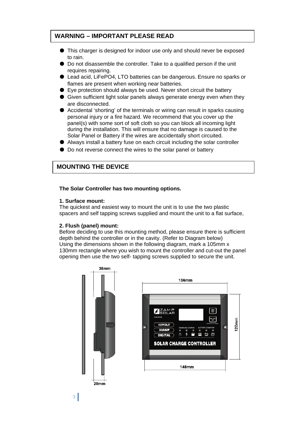# **WARNING – IMPORTANT PLEASE READ**

- This charger is designed for indoor use only and should never be exposed to rain.
- Do not disassemble the controller. Take to a qualified person if the unit requires repairing.
- Lead acid, LiFePO4, LTO batteries can be dangerous. Ensure no sparks or flames are present when working near batteries.
- Eye protection should always be used. Never short circuit the battery
- Given sufficient light solar panels always generate energy even when they are disconnected.
- Accidental 'shorting' of the terminals or wiring can result in sparks causing personal injury or a fire hazard. We recommend that you cover up the panel(s) with some sort of soft cloth so you can block all incoming light during the installation. This will ensure that no damage is caused to the Solar Panel or Battery if the wires are accidentally short circuited.
- Always install a battery fuse on each circuit including the solar controller
- Do not reverse connect the wires to the solar panel or battery

## **MOUNTING THE DEVICE**

#### **The Solar Controller has two mounting options.**

#### **1. Surface mount:**

The quickest and easiest way to mount the unit is to use the two plastic spacers and self tapping screws supplied and mount the unit to a flat surface,

#### **2. Flush (panel) mount:**

Before deciding to use this mounting method, please ensure there is sufficient depth behind the controller or in the cavity. (Refer to Diagram below) Using the dimensions shown in the following diagram, mark a 105mm x 130mm rectangle where you wish to mount the controller and cut-out the panel opening then use the two self- tapping screws supplied to secure the unit.



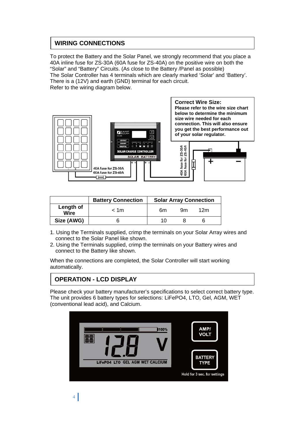# **WIRING CONNECTIONS**

To protect the Battery and the Solar Panel, we strongly recommend that you place a 40A inline fuse for ZS-30A (60A fuse for ZS-40A) on the positive wire on both the "Solar" and "Battery" Circuits. (As close to the Battery /Panel as possible) The Solar Controller has 4 terminals which are clearly marked 'Solar' and 'Battery'. There is a (12V) and earth (GND) terminal for each circuit. Refer to the wiring diagram below.



|                          | <b>Battery Connection</b> | <b>Solar Array Connection</b> |    |     |
|--------------------------|---------------------------|-------------------------------|----|-----|
| Length of<br><b>Wire</b> | < 1m                      | 6m                            | 9m | 12m |
| Size (AWG)               |                           | 10                            |    |     |

- 1. Using the Terminals supplied, crimp the terminals on your Solar Array wires and connect to the Solar Panel like shown.
- 2. Using the Terminals supplied, crimp the terminals on your Battery wires and connect to the Battery like shown.

When the connections are completed, the Solar Controller will start working automatically.

# **OPERATION - LCD DISPLAY**

Please check your battery manufacturer's specifications to select correct battery type. The unit provides 6 battery types for selections: LiFePO4, LTO, Gel, AGM, WET (conventional lead acid), and Calcium.

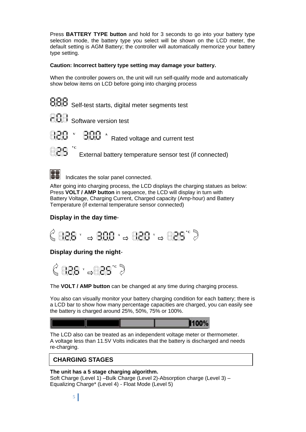Press **BATTERY TYPE button** and hold for 3 seconds to go into your battery type selection mode, the battery type you select will be shown on the LCD meter, the default setting is AGM Battery; the controller will automatically memorize your battery type setting.

### **Caution: Incorrect battery type setting may damage your battery.**

When the controller powers on, the unit will run self-qualify mode and automatically show below items on LCD before going into charging process

**8.8.8** Self-test starts, digital meter segments test

**BBB** Software version test



º**C** 

888 A Rated voltage and current test

External battery temperature sensor test (if connected)



Indicates the solar panel connected.

After going into charging process, the LCD displays the charging statues as below: Press **VOLT / AMP button** in sequence, the LCD will display in turn with Battery Voltage, Charging Current, Charged capacity (Amp-hour) and Battery Temperature (if external temperature sensor connected)

## **Display in the day time**-



## **Display during the night**-



The **VOLT / AMP button** can be changed at any time during charging process.

You also can visually monitor your battery charging condition for each battery; there is a LCD bar to show how many percentage capacities are charged, you can easily see the battery is charged around 25%, 50%, 75% or 100%.



The LCD also can be treated as an independent voltage meter or thermometer. A voltage less than 11.5V Volts indicates that the battery is discharged and needs re-charging.

## **CHARGING STAGES**

#### **The unit has a 5 stage charging algorithm.**  Soft Charge (Level 1) –Bulk Charge (Level 2)-Absorption charge (Level 3) – Equalizing Charge\* (Level 4) - Float Mode (Level 5)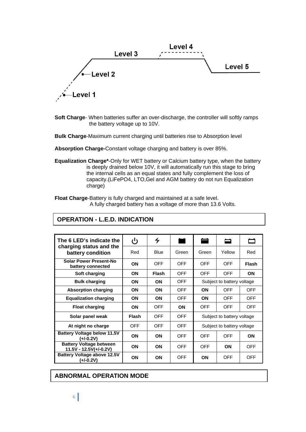

**Soft Charge-** When batteries suffer an over-discharge, the controller will softly ramps the battery voltage up to 10V.

**Bulk Charge**-Maximum current charging until batteries rise to Absorption level

**Absorption Charge-**Constant voltage charging and battery is over 85%.

**Equalization Charge\***-Only for WET battery or Calcium battery type, when the battery is deeply drained below 10V, it will automatically run this stage to bring the internal cells as an equal states and fully complement the loss of capacity.(LiFePO4, LTO,Gel and AGM battery do not run Equalization charge)

**Float Charge**-Battery is fully charged and maintained at a safe level. A fully charged battery has a voltage of more than 13.6 Volts.

| The 6 LED's indicate the                                 | ്യ           | ץ            |            | ▄                          | ▭          | −            |
|----------------------------------------------------------|--------------|--------------|------------|----------------------------|------------|--------------|
| charging status and the<br>battery condition             | Red          | <b>Blue</b>  | Green      | Green                      | Yellow     | Red          |
| <b>Solar Power Present-No</b><br>battery connected       | <b>ON</b>    | <b>OFF</b>   | <b>OFF</b> | <b>OFF</b>                 | <b>OFF</b> | <b>Flash</b> |
| Soft charging                                            | <b>ON</b>    | <b>Flash</b> | <b>OFF</b> | <b>OFF</b>                 | <b>OFF</b> | <b>ON</b>    |
| <b>Bulk charging</b>                                     | <b>ON</b>    | <b>ON</b>    | <b>OFF</b> | Subject to battery voltage |            |              |
| <b>Absorption charging</b>                               | ON           | <b>ON</b>    | <b>OFF</b> | ON                         | <b>OFF</b> | <b>OFF</b>   |
| <b>Equalization charging</b>                             | <b>ON</b>    | <b>ON</b>    | <b>OFF</b> | ON                         | <b>OFF</b> | <b>OFF</b>   |
| <b>Float charging</b>                                    | <b>ON</b>    | <b>OFF</b>   | <b>ON</b>  | <b>OFF</b>                 | <b>OFF</b> | <b>OFF</b>   |
| Solar panel weak                                         | <b>Flash</b> | <b>OFF</b>   | <b>OFF</b> | Subject to battery voltage |            |              |
| At night no charge                                       | <b>OFF</b>   | <b>OFF</b>   | <b>OFF</b> | Subject to battery voltage |            |              |
| <b>Battery Voltage below 11.5V</b><br>(+/-0.2V)          | ON           | <b>ON</b>    | <b>OFF</b> | <b>OFF</b><br><b>OFF</b>   |            | ON           |
| <b>Battery Voltage between</b><br>11.5V - 12.5V(+/-0.2V) | ON           | <b>ON</b>    | <b>OFF</b> | <b>OFF</b>                 | ON         | <b>OFF</b>   |
| <b>Battery Voltage above 12.5V</b><br>(+/-0.2V)          | <b>ON</b>    | <b>ON</b>    | <b>OFF</b> | ΟN                         | <b>OFF</b> | <b>OFF</b>   |

## . **ABNORMAL OPERATION MODE**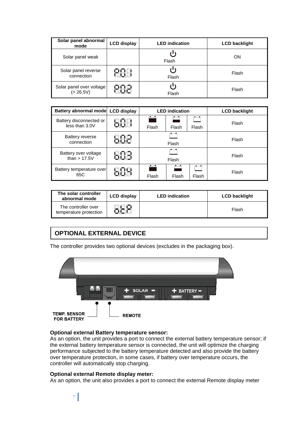| Solar panel abnormal<br>mode          | <b>LCD display</b> | <b>LED</b> indication | <b>LCD backlight</b> |
|---------------------------------------|--------------------|-----------------------|----------------------|
| Solar panel weak                      |                    | Flash                 | ON                   |
| Solar panel reverse<br>connection     |                    | Flash                 | Flash                |
| Solar panel over voltage<br>(> 26.5V) |                    | Flash                 | Flash                |

| Battery abnormal mode LCD display         | <b>LED</b> indication |       |       | <b>LCD backlight</b> |  |
|-------------------------------------------|-----------------------|-------|-------|----------------------|--|
| Battery disconnected or<br>less than 3.0V | Flash                 | Flash | Flash | Flash                |  |
| Battery reverse<br>connection             | . .<br>Flash          |       |       | Flash                |  |
| Battery over voltage<br>than $> 17.5V$    | Flash                 |       |       | Flash                |  |
| Battery temperature over<br>65C           | Flash                 | Flash | Flash | Flash                |  |

| The solar controller<br>abnormal mode         | <b>LCD display</b> | <b>LED</b> indication | <b>LCD backlight</b> |
|-----------------------------------------------|--------------------|-----------------------|----------------------|
| The controller over<br>temperature protection |                    |                       | Flash                |

# **OPTIONAL EXTERNAL DEVICE**

.

The controller provides two optional devices (excludes in the packaging box).



### **Optional external Battery temperature sensor:**

As an option, the unit provides a port to connect the external battery temperature sensor; if the external battery temperature sensor is connected, the unit will optimize the charging performance subjected to the battery temperature detected and also provide the battery over temperature protection, in some cases, if battery over temperature occurs, the controller will automatically stop charging.

#### **Optional external Remote display meter:**

As an option, the unit also provides a port to connect the external Remote display meter